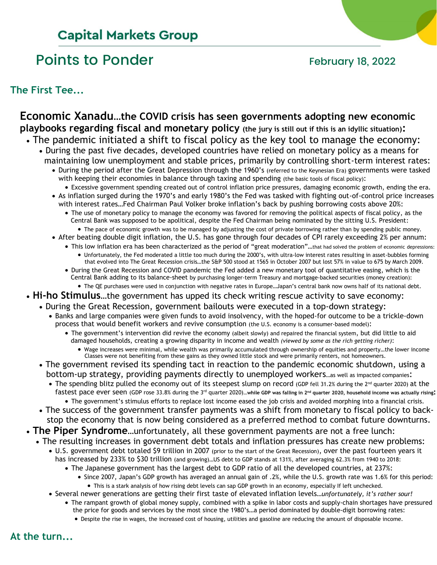# **Capital Markets Group**

# Points to Ponder February 18, 2022

**The First Tee...**

# **Economic Xanadu…the COVID crisis has seen governments adopting new economic playbooks regarding fiscal and monetary policy (the jury is still out if this is an idyllic situation):**

- The pandemic initiated a shift to fiscal policy as the key tool to manage the economy:
	- During the past five decades, developed countries have relied on monetary policy as a means for maintaining low unemployment and stable prices, primarily by controlling short-term interest rates:
		- During the period after the Great Depression through the 1960's (referred to the Keynesian Era) governments were tasked with keeping their economies in balance through taxing and spending (the basic tools of fiscal policy):
		- Excessive government spending created out of control inflation price pressures, damaging economic growth, ending the era. • As inflation surged during the 1970's and early 1980's the Fed was tasked with fighting out-of-control price increases with interest rates…Fed Chairman Paul Volker broke inflation's back by pushing borrowing costs above 20%:
			- The use of monetary policy to manage the economy was favored for removing the political aspects of fiscal policy, as the Central Bank was supposed to be apolitical, despite the Fed Chairman being nominated by the sitting U.S. President:
				- The pace of economic growth was to be managed by adjusting the cost of private borrowing rather than by spending public money.
		- After beating double digit inflation, the U.S. has gone through four decades of CPI rarely exceeding 2% per annum:
			- This low inflation era has been characterized as the period of "great moderation"…that had solved the problem of economic depressions: • Unfortunately, the Fed moderated a little too much during the 2000's, with ultra-low interest rates resulting in asset-bubbles forming that evolved into The Great Recession crisis…the S&P 500 stood at 1565 in October 2007 but lost 57% in value to 675 by March 2009.
			- During the Great Recession and COVID pandemic the Fed added a new monetary tool of quantitative easing, which is the Central Bank adding to its balance-sheet by purchasing longer-term Treasury and mortgage-backed securities (money creation): • The QE purchases were used in conjunction with negative rates in Europe…Japan's central bank now owns half of its national debt.
- **Hi-ho Stimulus**…the government has upped its check writing rescue activity to save economy:
	- During the Great Recession, government bailouts were executed in a top-down strategy:
		- Banks and large companies were given funds to avoid insolvency, with the hoped-for outcome to be a trickle-down process that would benefit workers and revive consumption (the U.S. economy is a consumer-based model):
			- The government's intervention did revive the economy (albeit slowly) and repaired the financial system, but did little to aid damaged households, creating a growing disparity in income and wealth *(viewed by some as the rich getting richer)*:
				- Wage increases were minimal, while wealth was primarily accumulated through ownership of equities and property…the lower income Classes were not benefiting from these gains as they owned little stock and were primarily renters, not homeowners.
		- The government revised its spending tact in reaction to the pandemic economic shutdown, using a bottom-up strategy, providing payments directly to unemployed workers…as well as impacted companies:
			- The spending blitz pulled the economy out of its steepest slump on record (GDP fell 31.2% during the 2<sup>nd</sup> quarter 2020) at the fastest pace ever seen (GDP rose 33.8% during the 3<sup>rd</sup> quarter 2020)...while GDP was falling in 2<sup>nd</sup> quarter 2020, household income was actually rising: • The government's stimulus efforts to replace lost income eased the job crisis and avoided morphing into a financial crisis.
		- The success of the government transfer payments was a shift from monetary to fiscal policy to back stop the economy that is now being considered as a preferred method to combat future downturns.
- **The Piper Syndrome**…unfortunately, all these government payments are not a free lunch:
	- The resulting increases in government debt totals and inflation pressures has create new problems:
		- U.S. government debt totaled \$9 trillion in 2007 (prior to the start of the Great Recession), over the past fourteen years it
			- has increased by 233% to \$30 trillion (and growing)…US debt to GDP stands at 131%, after averaging 62.3% from 1940 to 2018: • The Japanese government has the largest debt to GDP ratio of all the developed countries, at 237%:
				- Since 2007, Japan's GDP growth has averaged an annual gain of .2%, while the U.S. growth rate was 1.6% for this period:
					- This is a stark analysis of how rising debt levels can sap GDP growth in an economy, especially If left unchecked.
		- Several newer generations are getting their first taste of elevated inflation levels*…unfortunately, it's rather sour!*
			- The rampant growth of global money supply, combined with a spike in labor costs and supply-chain shortages have pressured the price for goods and services by the most since the 1980's…a period dominated by double-digit borrowing rates:
				- Despite the rise in wages, the increased cost of housing, utilities and gasoline are reducing the amount of disposable income.

**At the turn...**